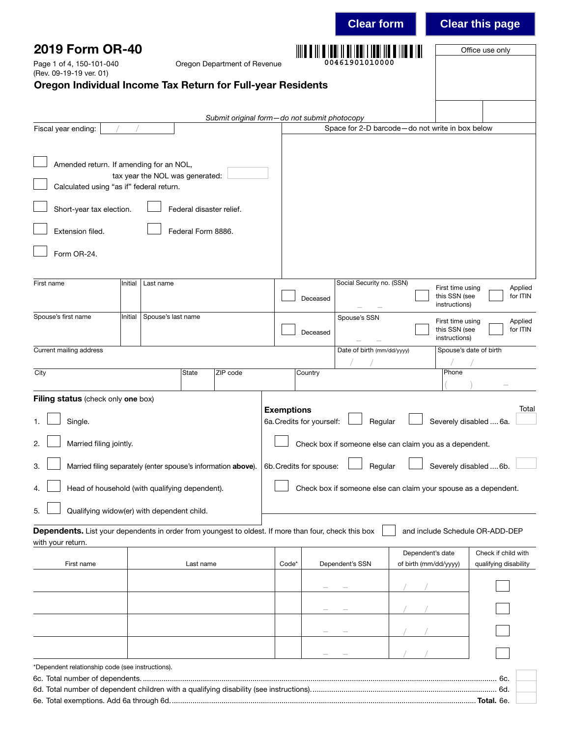|                                                                                                                           |         |                                 |                          |                                              |                                                                                     |          | <b>Clear form</b>          |                                                 |                                                    | <b>Clear this page</b>                       |
|---------------------------------------------------------------------------------------------------------------------------|---------|---------------------------------|--------------------------|----------------------------------------------|-------------------------------------------------------------------------------------|----------|----------------------------|-------------------------------------------------|----------------------------------------------------|----------------------------------------------|
| 2019 Form OR-40<br>Page 1 of 4, 150-101-040                                                                               |         |                                 |                          | Oregon Department of Revenue                 |                                                                                     |          | 00461901010000             |                                                 |                                                    | Office use only                              |
| (Rev. 09-19-19 ver. 01)<br>Oregon Individual Income Tax Return for Full-year Residents                                    |         |                                 |                          |                                              |                                                                                     |          |                            |                                                 |                                                    |                                              |
|                                                                                                                           |         |                                 |                          |                                              |                                                                                     |          |                            |                                                 |                                                    |                                              |
| Fiscal year ending:                                                                                                       |         |                                 |                          | Submit original form-do not submit photocopy |                                                                                     |          |                            | Space for 2-D barcode-do not write in box below |                                                    |                                              |
|                                                                                                                           |         |                                 |                          |                                              |                                                                                     |          |                            |                                                 |                                                    |                                              |
| Amended return. If amending for an NOL,<br>Calculated using "as if" federal return.                                       |         | tax year the NOL was generated: |                          |                                              |                                                                                     |          |                            |                                                 |                                                    |                                              |
| Short-year tax election.                                                                                                  |         |                                 | Federal disaster relief. |                                              |                                                                                     |          |                            |                                                 |                                                    |                                              |
| Extension filed.                                                                                                          |         |                                 | Federal Form 8886.       |                                              |                                                                                     |          |                            |                                                 |                                                    |                                              |
| Form OR-24.                                                                                                               |         |                                 |                          |                                              |                                                                                     |          |                            |                                                 |                                                    |                                              |
| First name                                                                                                                | Initial | Last name                       |                          |                                              |                                                                                     |          | Social Security no. (SSN)  |                                                 | First time using                                   | Applied                                      |
|                                                                                                                           |         |                                 |                          |                                              |                                                                                     | Deceased |                            |                                                 | this SSN (see<br>instructions)                     | for ITIN                                     |
| Spouse's first name                                                                                                       | Initial | Spouse's last name              |                          |                                              |                                                                                     | Deceased | Spouse's SSN               |                                                 | First time using<br>this SSN (see<br>instructions) | Applied<br>for ITIN                          |
| Current mailing address                                                                                                   |         |                                 |                          |                                              |                                                                                     |          | Date of birth (mm/dd/yyyy) |                                                 |                                                    | Spouse's date of birth                       |
| City                                                                                                                      |         |                                 | State                    | ZIP code                                     |                                                                                     | Country  |                            |                                                 | Phone                                              |                                              |
| Filing status (check only one box)                                                                                        |         |                                 |                          |                                              |                                                                                     |          |                            |                                                 |                                                    | Total                                        |
| Single.                                                                                                                   |         |                                 |                          |                                              | <b>Exemptions</b><br>6a. Credits for yourself:<br>Regular<br>Severely disabled  6a. |          |                            |                                                 |                                                    |                                              |
| Married filing jointly.<br>2.                                                                                             |         |                                 |                          |                                              | Check box if someone else can claim you as a dependent.                             |          |                            |                                                 |                                                    |                                              |
| Married filing separately (enter spouse's information above).<br>3.                                                       |         |                                 |                          |                                              | Severely disabled  6b.<br>6b. Credits for spouse:<br>Regular                        |          |                            |                                                 |                                                    |                                              |
| Head of household (with qualifying dependent).                                                                            |         |                                 |                          |                                              | Check box if someone else can claim your spouse as a dependent.                     |          |                            |                                                 |                                                    |                                              |
| Qualifying widow(er) with dependent child.<br>5.                                                                          |         |                                 |                          |                                              |                                                                                     |          |                            |                                                 |                                                    |                                              |
| Dependents. List your dependents in order from youngest to oldest. If more than four, check this box<br>with your return. |         |                                 |                          |                                              |                                                                                     |          |                            |                                                 |                                                    | and include Schedule OR-ADD-DEP              |
| First name                                                                                                                |         |                                 | Last name                |                                              | Code*                                                                               |          | Dependent's SSN            | Dependent's date<br>of birth (mm/dd/yyyy)       |                                                    | Check if child with<br>qualifying disability |
|                                                                                                                           |         |                                 |                          |                                              |                                                                                     |          |                            |                                                 |                                                    |                                              |
|                                                                                                                           |         |                                 |                          |                                              |                                                                                     |          |                            |                                                 |                                                    |                                              |
|                                                                                                                           |         |                                 |                          |                                              |                                                                                     |          |                            |                                                 |                                                    |                                              |
|                                                                                                                           |         |                                 |                          |                                              |                                                                                     |          |                            |                                                 |                                                    |                                              |
| *Dependent relationship code (see instructions).                                                                          |         |                                 |                          |                                              |                                                                                     |          |                            |                                                 |                                                    |                                              |
|                                                                                                                           |         |                                 |                          |                                              |                                                                                     |          |                            |                                                 |                                                    |                                              |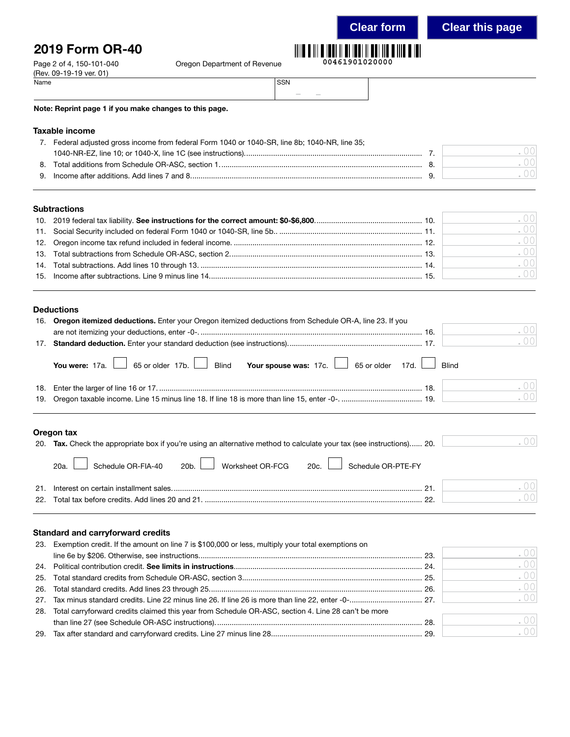## 2019 Form OR-40

Department of Revenue

| III O III O IOOI II O IOOI II OOI IIO O IIIO O IOI |                |  |
|----------------------------------------------------|----------------|--|
|                                                    | 00461901020000 |  |

| Page 2 of 4, 150-101-040 | Oregon Department of Revenue |       |
|--------------------------|------------------------------|-------|
| (Rev. 09-19-19 ver. 01)  |                              |       |
| Name                     |                              | l SSN |

| <b>SSN</b> |  |  |
|------------|--|--|
|            |  |  |

### Note: Reprint page 1 if you make changes to this page.

### Taxable income

|    | Federal adjusted gross income from federal Form 1040 or 1040-SR, line 8b; 1040-NR, line 35; |  |
|----|---------------------------------------------------------------------------------------------|--|
|    |                                                                                             |  |
| 8. |                                                                                             |  |
|    |                                                                                             |  |
|    |                                                                                             |  |

### **Subtractions**

|  | .001 |
|--|------|
|  | .001 |
|  | .001 |
|  | .001 |
|  | .001 |
|  | .001 |
|  |      |

### Deductions

| 16. Oregon itemized deductions. Enter your Oregon itemized deductions from Schedule OR-A, line 23. If you |
|-----------------------------------------------------------------------------------------------------------|
| .00                                                                                                       |
| .00                                                                                                       |
| You were: 17a. 65 or older 17b. Blind Your spouse was: 17c. 65 or older 17d. $\Box$ Blind                 |
| .00                                                                                                       |
| .00                                                                                                       |
|                                                                                                           |

### Oregon tax

| 20. Tax. Check the appropriate box if you're using an alternative method to calculate your tax (see instructions) 20. | .00 |
|-----------------------------------------------------------------------------------------------------------------------|-----|
| 20a. Schedule OR-FIA-40 20b. Worksheet OR-FCG 20c. Schedule OR-PTE-FY                                                 |     |
|                                                                                                                       | 00  |
|                                                                                                                       | 00  |

### Standard and carryforward credits

| 23. Exemption credit. If the amount on line 7 is \$100,000 or less, multiply your total exemptions on   |      |
|---------------------------------------------------------------------------------------------------------|------|
|                                                                                                         | .00  |
|                                                                                                         | .001 |
|                                                                                                         | .001 |
|                                                                                                         | .001 |
|                                                                                                         | .001 |
| 28. Total carryforward credits claimed this year from Schedule OR-ASC, section 4. Line 28 can't be more |      |
|                                                                                                         | .00  |
|                                                                                                         | .001 |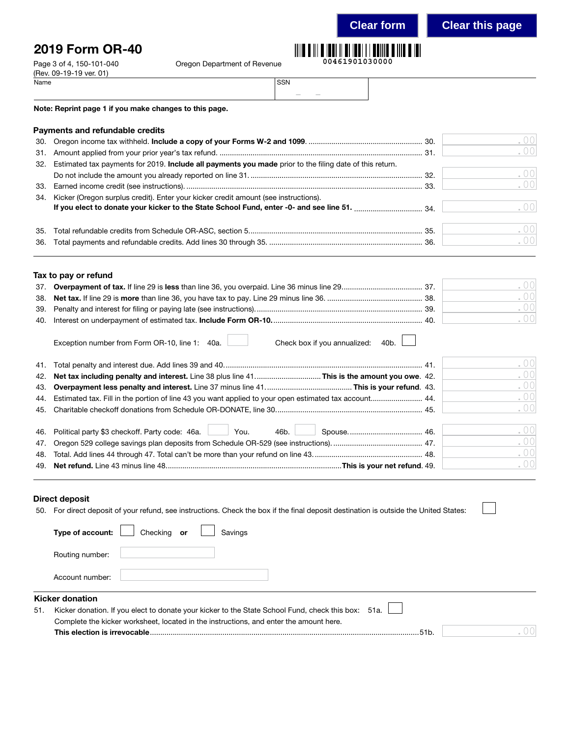**Clear form Clear this page**

. 00

## 2019 Form OR-40

(Rev. 09-19-19 ver. 01)<br>Name

Page 3 of 4, 150-101-040 Cregon Department of Revenue

| <u> IIII O III O IODI II OI IODI I I OOIII O IIIO O IO</u> |  |  |
|------------------------------------------------------------|--|--|
| 00461901030000                                             |  |  |

| Name | SSN |                                                                                                                           |                           |  |
|------|-----|---------------------------------------------------------------------------------------------------------------------------|---------------------------|--|
|      |     | $\frac{1}{2} \left( \frac{1}{2} \right) \left( \frac{1}{2} \right) \left( \frac{1}{2} \right) \left( \frac{1}{2} \right)$ | and the state of the con- |  |

Note: Reprint page 1 if you make changes to this page.

|     | Payments and refundable credits                                                                             |      |
|-----|-------------------------------------------------------------------------------------------------------------|------|
|     |                                                                                                             | . 00 |
|     |                                                                                                             | . 00 |
|     | 32. Estimated tax payments for 2019. Include all payments you made prior to the filing date of this return. |      |
|     |                                                                                                             | . 00 |
| 33. |                                                                                                             | . 00 |
| 34. | Kicker (Oregon surplus credit). Enter your kicker credit amount (see instructions).                         |      |
|     |                                                                                                             |      |
|     |                                                                                                             | . 00 |
|     |                                                                                                             | . 00 |
| 36. |                                                                                                             |      |

|  | Tax to pay or refund                                                  |  |  |  |  |  |  |  |  |  |  |  |
|--|-----------------------------------------------------------------------|--|--|--|--|--|--|--|--|--|--|--|
|  | 37. Overpayment of tax. If line 29 is less than line 36, you overpaid |  |  |  |  |  |  |  |  |  |  |  |
|  |                                                                       |  |  |  |  |  |  |  |  |  |  |  |

|  | ( ) ( ) |
|--|---------|
|  | ( )()   |
|  | ()()    |
|  |         |

| Exception number from Form OR-10, line 1: 40a. |  |  |  |  |
|------------------------------------------------|--|--|--|--|
|------------------------------------------------|--|--|--|--|

Check box if you annualized: 40b.

|                                                                  | .00<br>.001<br>.00<br>.00<br>.00 |
|------------------------------------------------------------------|----------------------------------|
| 46. Political party \$3 checkoff. Party code: 46a. November 2014 | .00<br>.00<br>.00<br>.00         |

### Direct deposit

| 50. For direct deposit of your refund, see instructions. Check the box if the final deposit destination is outside the United States: |
|---------------------------------------------------------------------------------------------------------------------------------------|
|---------------------------------------------------------------------------------------------------------------------------------------|

|     | Checking or<br>Type of account:<br>Savings                                                         |  |  |  |  |  |  |  |  |
|-----|----------------------------------------------------------------------------------------------------|--|--|--|--|--|--|--|--|
|     | Routing number:                                                                                    |  |  |  |  |  |  |  |  |
|     | Account number:                                                                                    |  |  |  |  |  |  |  |  |
|     | <b>Kicker donation</b>                                                                             |  |  |  |  |  |  |  |  |
| 51. | Kicker donation. If you elect to donate your kicker to the State School Fund, check this box: 51a. |  |  |  |  |  |  |  |  |
|     | Complete the kicker worksheet, located in the instructions, and enter the amount here.             |  |  |  |  |  |  |  |  |
|     | This election is irrevocable.<br>51b.                                                              |  |  |  |  |  |  |  |  |